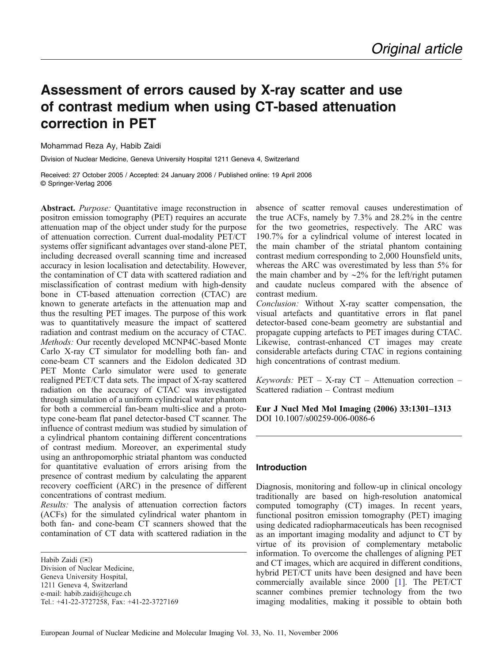# Assessment of errors caused by X-ray scatter and use of contrast medium when using CT-based attenuation correction in PET

# Mohammad Reza Ay, Habib Zaidi

Division of Nuclear Medicine, Geneva University Hospital 1211 Geneva 4, Switzerland

Received: 27 October 2005 / Accepted: 24 January 2006 / Published online: 19 April 2006 © Springer-Verlag 2006

Abstract. Purpose: Quantitative image reconstruction in positron emission tomography (PET) requires an accurate attenuation map of the object under study for the purpose of attenuation correction. Current dual-modality PET/CT systems offer significant advantages over stand-alone PET, including decreased overall scanning time and increased accuracy in lesion localisation and detectability. However, the contamination of CT data with scattered radiation and misclassification of contrast medium with high-density bone in CT-based attenuation correction (CTAC) are known to generate artefacts in the attenuation map and thus the resulting PET images. The purpose of this work was to quantitatively measure the impact of scattered radiation and contrast medium on the accuracy of CTAC. Methods: Our recently developed MCNP4C-based Monte Carlo X-ray CT simulator for modelling both fan- and cone-beam CT scanners and the Eidolon dedicated 3D PET Monte Carlo simulator were used to generate realigned PET/CT data sets. The impact of X-ray scattered radiation on the accuracy of CTAC was investigated through simulation of a uniform cylindrical water phantom for both a commercial fan-beam multi-slice and a prototype cone-beam flat panel detector-based CT scanner. The influence of contrast medium was studied by simulation of a cylindrical phantom containing different concentrations of contrast medium. Moreover, an experimental study using an anthropomorphic striatal phantom was conducted for quantitative evaluation of errors arising from the presence of contrast medium by calculating the apparent recovery coefficient (ARC) in the presence of different concentrations of contrast medium.

Results: The analysis of attenuation correction factors (ACFs) for the simulated cylindrical water phantom in both fan- and cone-beam CT scanners showed that the contamination of CT data with scattered radiation in the

Habib Zaidi (*))* Division of Nuclear Medicine, Geneva University Hospital, 1211 Geneva 4, Switzerland e-mail: habib.zaidi@hcuge.ch Tel.: +41-22-3727258, Fax: +41-22-3727169 absence of scatter removal causes underestimation of the true ACFs, namely by 7.3% and 28.2% in the centre for the two geometries, respectively. The ARC was 190.7% for a cylindrical volume of interest located in the main chamber of the striatal phantom containing contrast medium corresponding to 2,000 Hounsfield units, whereas the ARC was overestimated by less than 5% for the main chamber and by ∼2% for the left/right putamen and caudate nucleus compared with the absence of contrast medium.

Conclusion: Without X-ray scatter compensation, the visual artefacts and quantitative errors in flat panel detector-based cone-beam geometry are substantial and propagate cupping artefacts to PET images during CTAC. Likewise, contrast-enhanced CT images may create considerable artefacts during CTAC in regions containing high concentrations of contrast medium.

Keywords:  $PET - X-ray$   $CT - At$ tenuation correction – Scattered radiation – Contrast medium

Eur J Nucl Med Mol Imaging (2006) 33:1301*–*1313 DOI 10.1007/s00259-006-0086-6

# Introduction

Diagnosis, monitoring and follow-up in clinical oncology traditionally are based on high-resolution anatomical computed tomography (CT) images. In recent years, functional positron emission tomography (PET) imaging using dedicated radiopharmaceuticals has been recognised as an important imaging modality and adjunct to CT by virtue of its provision of complementary metabolic information. To overcome the challenges of aligning PET and CT images, which are acquired in different conditions, hybrid PET/CT units have been designed and have been commercially available since 2000 [\[1](#page-11-0)]. The PET/CT scanner combines premier technology from the two imaging modalities, making it possible to obtain both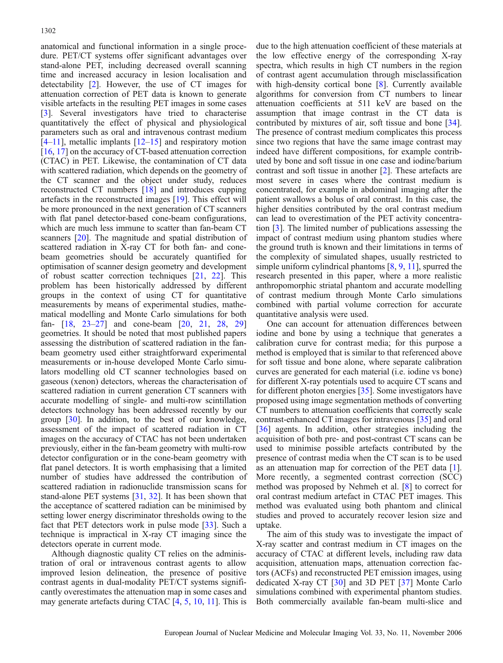anatomical and functional information in a single procedure. PET/CT systems offer significant advantages over stand-alone PET, including decreased overall scanning time and increased accuracy in lesion localisation and detectability [[2\]](#page-11-0). However, the use of CT images for attenuation correction of PET data is known to generate visible artefacts in the resulting PET images in some cases [[3\]](#page-11-0). Several investigators have tried to characterise quantitatively the effect of physical and physiological parameters such as oral and intravenous contrast medium  $[4–11]$  $[4–11]$  $[4–11]$  $[4–11]$  $[4–11]$ , metallic implants  $[12–15]$  $[12–15]$  $[12–15]$  $[12–15]$  and respiratory motion [[16](#page-12-0), [17](#page-12-0)] on the accuracy of CT-based attenuation correction (CTAC) in PET. Likewise, the contamination of CT data with scattered radiation, which depends on the geometry of the CT scanner and the object under study, reduces reconstructed CT numbers [\[18\]](#page-12-0) and introduces cupping artefacts in the reconstructed images [\[19\]](#page-12-0). This effect will be more pronounced in the next generation of CT scanners with flat panel detector-based cone-beam configurations, which are much less immune to scatter than fan-beam CT scanners [[20\]](#page-12-0). The magnitude and spatial distribution of scattered radiation in X-ray CT for both fan- and conebeam geometries should be accurately quantified for optimisation of scanner design geometry and development of robust scatter correction techniques [\[21,](#page-12-0) [22](#page-12-0)]. This problem has been historically addressed by different groups in the context of using CT for quantitative measurements by means of experimental studies, mathematical modelling and Monte Carlo simulations for both fan- [\[18,](#page-12-0) [23](#page-12-0)–[27](#page-12-0)] and cone-beam [[20](#page-12-0), [21](#page-12-0), [28](#page-12-0), [29\]](#page-12-0) geometries. It should be noted that most published papers assessing the distribution of scattered radiation in the fanbeam geometry used either straightforward experimental measurements or in-house developed Monte Carlo simulators modelling old CT scanner technologies based on gaseous (xenon) detectors, whereas the characterisation of scattered radiation in current generation CT scanners with accurate modelling of single- and multi-row scintillation detectors technology has been addressed recently by our group [[30\]](#page-12-0). In addition, to the best of our knowledge, assessment of the impact of scattered radiation in CT images on the accuracy of CTAC has not been undertaken previously, either in the fan-beam geometry with multi-row detector configuration or in the cone-beam geometry with flat panel detectors. It is worth emphasising that a limited number of studies have addressed the contribution of scattered radiation in radionuclide transmission scans for stand-alone PET systems [[31](#page-12-0), [32\]](#page-12-0). It has been shown that the acceptance of scattered radiation can be minimised by setting lower energy discriminator thresholds owing to the fact that PET detectors work in pulse mode [[33](#page-12-0)]. Such a technique is impractical in X-ray CT imaging since the detectors operate in current mode.

Although diagnostic quality CT relies on the administration of oral or intravenous contrast agents to allow improved lesion delineation, the presence of positive contrast agents in dual-modality PET/CT systems significantly overestimates the attenuation map in some cases and may generate artefacts during CTAC [[4,](#page-11-0) [5](#page-11-0), [10](#page-12-0), [11](#page-12-0)]. This is

due to the high attenuation coefficient of these materials at the low effective energy of the corresponding X-ray spectra, which results in high CT numbers in the region of contrast agent accumulation through misclassification with high-density cortical bone [[8\]](#page-12-0). Currently available algorithms for conversion from CT numbers to linear attenuation coefficients at 511 keV are based on the assumption that image contrast in the CT data is contributed by mixtures of air, soft tissue and bone [[34](#page-12-0)]. The presence of contrast medium complicates this process since two regions that have the same image contrast may indeed have different compositions, for example contributed by bone and soft tissue in one case and iodine/barium contrast and soft tissue in another [\[2\]](#page-11-0). These artefacts are most severe in cases where the contrast medium is concentrated, for example in abdominal imaging after the patient swallows a bolus of oral contrast. In this case, the higher densities contributed by the oral contrast medium can lead to overestimation of the PET activity concentration [\[3](#page-11-0)]. The limited number of publications assessing the impact of contrast medium using phantom studies where the ground truth is known and their limitations in terms of the complexity of simulated shapes, usually restricted to simple uniform cylindrical phantoms [[8](#page-12-0), [9](#page-12-0), [11\]](#page-12-0), spurred the research presented in this paper, where a more realistic anthropomorphic striatal phantom and accurate modelling of contrast medium through Monte Carlo simulations combined with partial volume correction for accurate quantitative analysis were used.

One can account for attenuation differences between iodine and bone by using a technique that generates a calibration curve for contrast media; for this purpose a method is employed that is similar to that referenced above for soft tissue and bone alone, where separate calibration curves are generated for each material (i.e. iodine vs bone) for different X-ray potentials used to acquire CT scans and for different photon energies [\[35\]](#page-12-0). Some investigators have proposed using image segmentation methods of converting CT numbers to attenuation coefficients that correctly scale contrast-enhanced CT images for intravenous [\[35\]](#page-12-0) and oral [[36](#page-12-0)] agents. In addition, other strategies including the acquisition of both pre- and post-contrast CT scans can be used to minimise possible artefacts contributed by the presence of contrast media when the CT scan is to be used as an attenuation map for correction of the PET data [[1](#page-11-0)]. More recently, a segmented contrast correction (SCC) method was proposed by Nehmeh et al. [\[8\]](#page-12-0) to correct for oral contrast medium artefact in CTAC PET images. This method was evaluated using both phantom and clinical studies and proved to accurately recover lesion size and uptake.

The aim of this study was to investigate the impact of X-ray scatter and contrast medium in CT images on the accuracy of CTAC at different levels, including raw data acquisition, attenuation maps, attenuation correction factors (ACFs) and reconstructed PET emission images, using dedicated X-ray CT [[30](#page-12-0)] and 3D PET [\[37\]](#page-12-0) Monte Carlo simulations combined with experimental phantom studies. Both commercially available fan-beam multi-slice and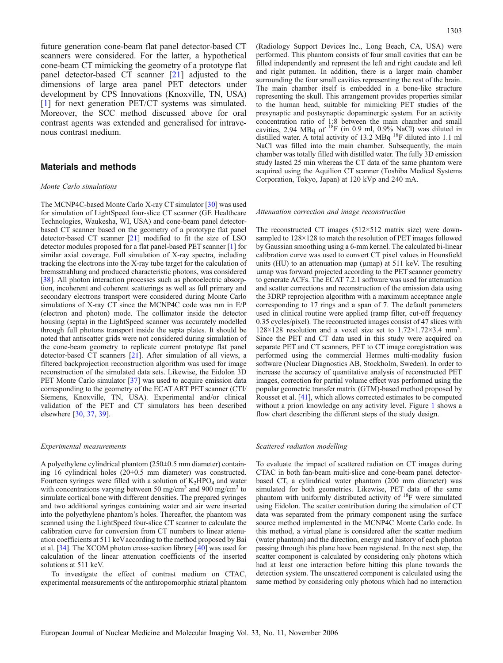future generation cone-beam flat panel detector-based CT scanners were considered. For the latter, a hypothetical cone-beam CT mimicking the geometry of a prototype flat panel detector-based CT scanner [[21](#page-12-0)] adjusted to the dimensions of large area panel PET detectors under development by CPS Innovations (Knoxville, TN, USA) [[1\]](#page-11-0) for next generation PET/CT systems was simulated. Moreover, the SCC method discussed above for oral contrast agents was extended and generalised for intravenous contrast medium.

# Materials and methods

#### Monte Carlo simulations

The MCNP4C-based Monte Carlo X-ray CT simulator [[30\]](#page-12-0) was used for simulation of LightSpeed four-slice CT scanner (GE Healthcare Technologies, Waukesha, WI, USA) and cone-beam panel detectorbased CT scanner based on the geometry of a prototype flat panel detector-based CT scanner [[21\]](#page-12-0) modified to fit the size of LSO detector modules proposed for a flat panel-based PET scanner [\[1\]](#page-11-0) for similar axial coverage. Full simulation of X-ray spectra, including tracking the electrons into the X-ray tube target for the calculation of bremsstrahlung and produced characteristic photons, was considered [\[38](#page-12-0)]. All photon interaction processes such as photoelectric absorption, incoherent and coherent scatterings as well as full primary and secondary electrons transport were considered during Monte Carlo simulations of X-ray CT since the MCNP4C code was run in E/P (electron and photon) mode. The collimator inside the detector housing (septa) in the LightSpeed scanner was accurately modelled through full photons transport inside the septa plates. It should be noted that antiscatter grids were not considered during simulation of the cone-beam geometry to replicate current prototype flat panel detector-based CT scanners [[21\]](#page-12-0). After simulation of all views, a filtered backprojection reconstruction algorithm was used for image reconstruction of the simulated data sets. Likewise, the Eidolon 3D PET Monte Carlo simulator [\[37](#page-12-0)] was used to acquire emission data corresponding to the geometry of the ECAT ART PET scanner (CTI/ Siemens, Knoxville, TN, USA). Experimental and/or clinical validation of the PET and CT simulators has been described elsewhere [\[30](#page-12-0), [37](#page-12-0), [39\]](#page-12-0).

#### Experimental measurements

A polyethylene cylindrical phantom (250±0.5 mm diameter) containing 16 cylindrical holes (20±0.5 mm diameter) was constructed. Fourteen syringes were filled with a solution of  $K_2HPO_4$  and water with concentrations varying between 50 mg/cm<sup>3</sup> and 900 mg/cm<sup>3</sup> to simulate cortical bone with different densities. The prepared syringes and two additional syringes containing water and air were inserted into the polyethylene phantom's holes. Thereafter, the phantom was scanned using the LightSpeed four-slice CT scanner to calculate the calibration curve for conversion from CT numbers to linear attenuation coefficients at 511 keVaccording to the method proposed by Bai et al. [[34\]](#page-12-0). The XCOM photon cross-section library [[40\]](#page-12-0) was used for calculation of the linear attenuation coefficients of the inserted solutions at 511 keV.

To investigate the effect of contrast medium on CTAC, experimental measurements of the anthropomorphic striatal phantom

(Radiology Support Devices Inc., Long Beach, CA, USA) were performed. This phantom consists of four small cavities that can be filled independently and represent the left and right caudate and left and right putamen. In addition, there is a larger main chamber surrounding the four small cavities representing the rest of the brain. The main chamber itself is embedded in a bone-like structure representing the skull. This arrangement provides properties similar to the human head, suitable for mimicking PET studies of the presynaptic and postsynaptic dopaminergic system. For an activity concentration ratio of 1:8 between the main chamber and small cavities, 2.94 MBq of <sup>18</sup>F (in 0.9 ml, 0.9% NaCl) was diluted in distilled water. A total activity of 13.2 MBq <sup>18</sup>F diluted into 1.1 ml NaCl was filled into the main chamber. Subsequently, the main chamber was totally filled with distilled water. The fully 3D emission study lasted 25 min whereas the CT data of the same phantom were acquired using the Aquilion CT scanner (Toshiba Medical Systems Corporation, Tokyo, Japan) at 120 kVp and 240 mA.

#### Attenuation correction and image reconstruction

The reconstructed CT images (512×512 matrix size) were downsampled to 128×128 to match the resolution of PET images followed by Gaussian smoothing using a 6-mm kernel. The calculated bi-linear calibration curve was used to convert CT pixel values in Hounsfield units (HU) to an attenuation map (μmap) at 511 keV. The resulting μmap was forward projected according to the PET scanner geometry to generate ACFs. The ECAT 7.2.1 software was used for attenuation and scatter corrections and reconstruction of the emission data using the 3DRP reprojection algorithm with a maximum acceptance angle corresponding to 17 rings and a span of 7. The default parameters used in clinical routine were applied (ramp filter, cut-off frequency 0.35 cycles/pixel). The reconstructed images consist of 47 slices with  $128 \times 128$  resolution and a voxel size set to  $1.72 \times 1.72 \times 3.4$  mm<sup>3</sup>. Since the PET and CT data used in this study were acquired on separate PET and CT scanners, PET to CT image coregistration was performed using the commercial Hermes multi-modality fusion software (Nuclear Diagnostics AB, Stockholm, Sweden). In order to increase the accuracy of quantitative analysis of reconstructed PET images, correction for partial volume effect was performed using the popular geometric transfer matrix (GTM)-based method proposed by Rousset et al. [\[41](#page-12-0)], which allows corrected estimates to be computed without a priori knowledge on any activity level. Figure [1](#page-3-0) shows a flow chart describing the different steps of the study design.

#### Scattered radiation modelling

To evaluate the impact of scattered radiation on CT images during CTAC in both fan-beam multi-slice and cone-beam panel detectorbased CT, a cylindrical water phantom (200 mm diameter) was simulated for both geometries. Likewise, PET data of the same phantom with uniformly distributed activity of <sup>18</sup>F were simulated using Eidolon. The scatter contribution during the simulation of CT data was separated from the primary component using the surface source method implemented in the MCNP4C Monte Carlo code. In this method, a virtual plane is considered after the scatter medium (water phantom) and the direction, energy and history of each photon passing through this plane have been registered. In the next step, the scatter component is calculated by considering only photons which had at least one interaction before hitting this plane towards the detection system. The unscattered component is calculated using the same method by considering only photons which had no interaction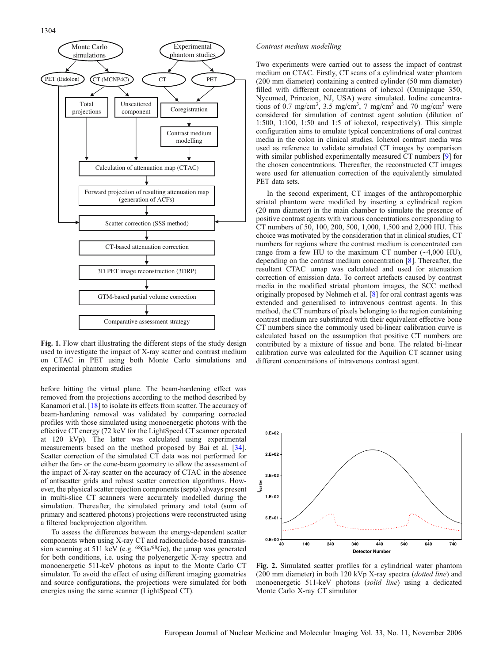<span id="page-3-0"></span>

Fig. 1. Flow chart illustrating the different steps of the study design used to investigate the impact of X-ray scatter and contrast medium on CTAC in PET using both Monte Carlo simulations and experimental phantom studies

before hitting the virtual plane. The beam-hardening effect was removed from the projections according to the method described by Kanamori et al. [\[18](#page-12-0)] to isolate its effects from scatter. The accuracy of beam-hardening removal was validated by comparing corrected profiles with those simulated using monoenergetic photons with the effective CT energy (72 keV for the LightSpeed CT scanner operated at 120 kVp). The latter was calculated using experimental measurements based on the method proposed by Bai et al. [[34\]](#page-12-0). Scatter correction of the simulated CT data was not performed for either the fan- or the cone-beam geometry to allow the assessment of the impact of X-ray scatter on the accuracy of CTAC in the absence of antiscatter grids and robust scatter correction algorithms. However, the physical scatter rejection components (septa) always present in multi-slice CT scanners were accurately modelled during the simulation. Thereafter, the simulated primary and total (sum of primary and scattered photons) projections were reconstructed using a filtered backprojection algorithm.

To assess the differences between the energy-dependent scatter components when using X-ray CT and radionuclide-based transmission scanning at 511 keV (e.g. 68Ga/68Ge), the μmap was generated for both conditions, i.e. using the polyenergetic X-ray spectra and monoenergetic 511-keV photons as input to the Monte Carlo CT simulator. To avoid the effect of using different imaging geometries and source configurations, the projections were simulated for both energies using the same scanner (LightSpeed CT).

#### Contrast medium modelling

Two experiments were carried out to assess the impact of contrast medium on CTAC. Firstly, CT scans of a cylindrical water phantom (200 mm diameter) containing a centred cylinder (50 mm diameter) filled with different concentrations of iohexol (Omnipaque 350, Nycomed, Princeton, NJ, USA) were simulated. Iodine concentrations of 0.7 mg/cm<sup>3</sup>, 3.5 mg/cm<sup>3</sup>, 7 mg/cm<sup>3</sup> and 70 mg/cm<sup>3</sup> were considered for simulation of contrast agent solution (dilution of 1:500, 1:100, 1:50 and 1:5 of iohexol, respectively). This simple configuration aims to emulate typical concentrations of oral contrast media in the colon in clinical studies. Iohexol contrast media was used as reference to validate simulated CT images by comparison with similar published experimentally measured CT numbers [\[9](#page-12-0)] for the chosen concentrations. Thereafter, the reconstructed CT images were used for attenuation correction of the equivalently simulated PET data sets.

In the second experiment, CT images of the anthropomorphic striatal phantom were modified by inserting a cylindrical region (20 mm diameter) in the main chamber to simulate the presence of positive contrast agents with various concentrations corresponding to CT numbers of 50, 100, 200, 500, 1,000, 1,500 and 2,000 HU. This choice was motivated by the consideration that in clinical studies, CT numbers for regions where the contrast medium is concentrated can range from a few HU to the maximum CT number (∼4,000 HU), depending on the contrast medium concentration [\[8\]](#page-12-0). Thereafter, the resultant CTAC μmap was calculated and used for attenuation correction of emission data. To correct artefacts caused by contrast media in the modified striatal phantom images, the SCC method originally proposed by Nehmeh et al. [\[8\]](#page-12-0) for oral contrast agents was extended and generalised to intravenous contrast agents. In this method, the CT numbers of pixels belonging to the region containing contrast medium are substituted with their equivalent effective bone CT numbers since the commonly used bi-linear calibration curve is calculated based on the assumption that positive CT numbers are contributed by a mixture of tissue and bone. The related bi-linear calibration curve was calculated for the Aquilion CT scanner using different concentrations of intravenous contrast agent.



Fig. 2. Simulated scatter profiles for a cylindrical water phantom (200 mm diameter) in both 120 kVp X-ray spectra (dotted line) and monoenergetic 511-keV photons (solid line) using a dedicated Monte Carlo X-ray CT simulator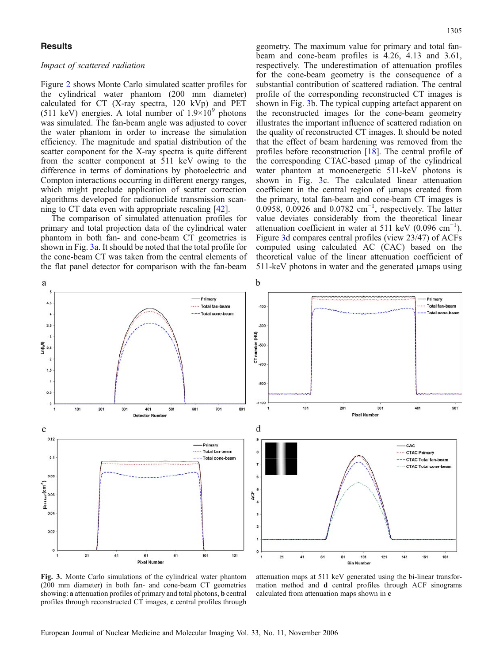## <span id="page-4-0"></span>**Results**

# Impact of scattered radiation

Figure [2](#page-3-0) shows Monte Carlo simulated scatter profiles for the cylindrical water phantom (200 mm diameter) calculated for CT (X-ray spectra, 120 kVp) and PET (511 keV) energies. A total number of  $1.9\times10^{9}$  photons was simulated. The fan-beam angle was adjusted to cover the water phantom in order to increase the simulation efficiency. The magnitude and spatial distribution of the scatter component for the X-ray spectra is quite different from the scatter component at 511 keV owing to the difference in terms of dominations by photoelectric and Compton interactions occurring in different energy ranges, which might preclude application of scatter correction algorithms developed for radionuclide transmission scanning to CT data even with appropriate rescaling [\[42\]](#page-12-0).

The comparison of simulated attenuation profiles for primary and total projection data of the cylindrical water phantom in both fan- and cone-beam CT geometries is shown in Fig. 3a. It should be noted that the total profile for the cone-beam CT was taken from the central elements of the flat panel detector for comparison with the fan-beam

geometry. The maximum value for primary and total fanbeam and cone-beam profiles is 4.26, 4.13 and 3.61, respectively. The underestimation of attenuation profiles for the cone-beam geometry is the consequence of a substantial contribution of scattered radiation. The central profile of the corresponding reconstructed CT images is shown in Fig. 3b. The typical cupping artefact apparent on the reconstructed images for the cone-beam geometry illustrates the important influence of scattered radiation on the quality of reconstructed CT images. It should be noted that the effect of beam hardening was removed from the profiles before reconstruction [\[18\]](#page-12-0). The central profile of the corresponding CTAC-based μmap of the cylindrical water phantom at monoenergetic 511-keV photons is shown in Fig. 3c. The calculated linear attenuation coefficient in the central region of μmaps created from the primary, total fan-beam and cone-beam CT images is 0.0958, 0.0926 and 0.0782 cm<sup>-1</sup>, respectively. The latter value deviates considerably from the theoretical linear attenuation coefficient in water at 511 keV (0.096 cm<sup>-1</sup>). Figure 3d compares central profiles (view 23/47) of ACFs computed using calculated AC (CAC) based on the theoretical value of the linear attenuation coefficient of 511-keV photons in water and the generated μmaps using



Fig. 3. Monte Carlo simulations of the cylindrical water phantom (200 mm diameter) in both fan- and cone-beam CT geometries showing: a attenuation profiles of primary and total photons, b central profiles through reconstructed CT images, c central profiles through

attenuation maps at 511 keV generated using the bi-linear transformation method and d central profiles through ACF sinograms calculated from attenuation maps shown in c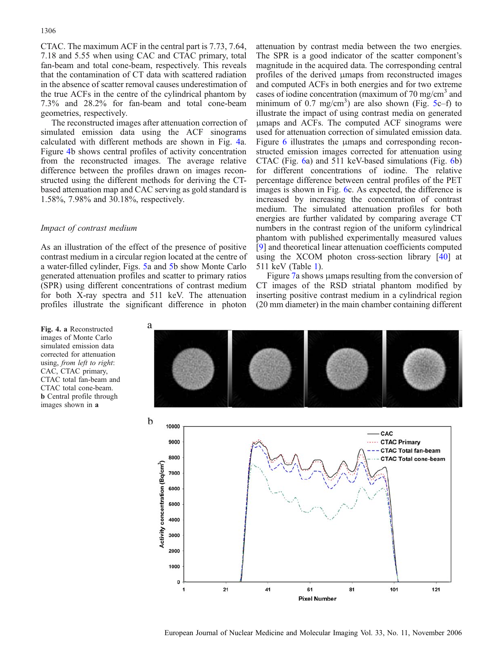<span id="page-5-0"></span>CTAC. The maximum ACF in the central part is 7.73, 7.64, 7.18 and 5.55 when using CAC and CTAC primary, total fan-beam and total cone-beam, respectively. This reveals that the contamination of CT data with scattered radiation in the absence of scatter removal causes underestimation of the true ACFs in the centre of the cylindrical phantom by 7.3% and 28.2% for fan-beam and total cone-beam geometries, respectively.

The reconstructed images after attenuation correction of simulated emission data using the ACF sinograms calculated with different methods are shown in Fig. 4a. Figure 4b shows central profiles of activity concentration from the reconstructed images. The average relative difference between the profiles drawn on images reconstructed using the different methods for deriving the CTbased attenuation map and CAC serving as gold standard is 1.58%, 7.98% and 30.18%, respectively.

# Impact of contrast medium

As an illustration of the effect of the presence of positive contrast medium in a circular region located at the centre of a water-filled cylinder, Figs. [5a](#page-6-0) and [5b](#page-6-0) show Monte Carlo generated attenuation profiles and scatter to primary ratios (SPR) using different concentrations of contrast medium for both X-ray spectra and 511 keV. The attenuation profiles illustrate the significant difference in photon

a

The SPR is a good indicator of the scatter component's magnitude in the acquired data. The corresponding central profiles of the derived μmaps from reconstructed images and computed ACFs in both energies and for two extreme cases of iodine concentration (maximum of  $70 \text{ mg/cm}^3$  and minimum of 0.7 mg/cm<sup>3</sup>) are also shown (Fig. [5](#page-6-0)c–f) to illustrate the impact of using contrast media on generated μmaps and ACFs. The computed ACF sinograms were used for attenuation correction of simulated emission data. Figure [6](#page-7-0) illustrates the μmaps and corresponding reconstructed emission images corrected for attenuation using CTAC (Fig. [6](#page-7-0)a) and 511 keV-based simulations (Fig. [6](#page-7-0)b) for different concentrations of iodine. The relative percentage difference between central profiles of the PET images is shown in Fig. [6](#page-7-0)c. As expected, the difference is increased by increasing the concentration of contrast medium. The simulated attenuation profiles for both energies are further validated by comparing average CT numbers in the contrast region of the uniform cylindrical phantom with published experimentally measured values [[9\]](#page-12-0) and theoretical linear attenuation coefficients computed using the XCOM photon cross-section library [[40](#page-12-0)] at 511 keV (Table [1\)](#page-8-0).

attenuation by contrast media between the two energies.

Figure [7](#page-9-0)a shows μmaps resulting from the conversion of CT images of the RSD striatal phantom modified by inserting positive contrast medium in a cylindrical region (20 mm diameter) in the main chamber containing different



Fig. 4. a Reconstructed images of Monte Carlo simulated emission data corrected for attenuation using, from left to right: CAC, CTAC primary, CTAC total fan-beam and CTAC total cone-beam. b Central profile through images shown in a

**Pixel Number** 

 $121$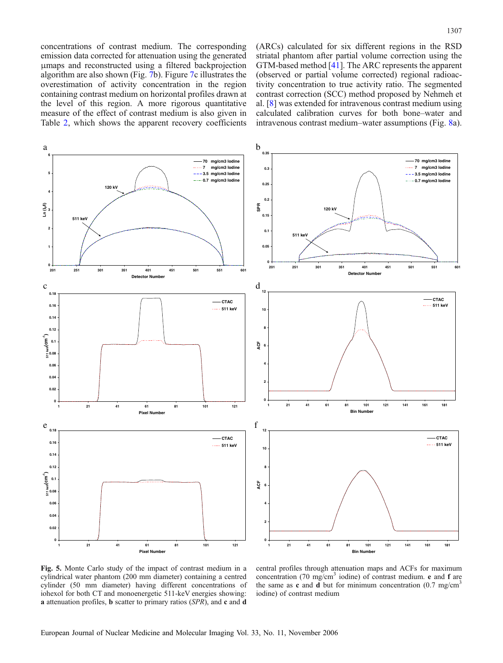<span id="page-6-0"></span>concentrations of contrast medium. The corresponding emission data corrected for attenuation using the generated μmaps and reconstructed using a filtered backprojection algorithm are also shown (Fig. [7b](#page-9-0)). Figure [7](#page-9-0)c illustrates the overestimation of activity concentration in the region containing contrast medium on horizontal profiles drawn at the level of this region. A more rigorous quantitative measure of the effect of contrast medium is also given in Table [2,](#page-10-0) which shows the apparent recovery coefficients

(ARCs) calculated for six different regions in the RSD striatal phantom after partial volume correction using the GTM-based method [\[41\]](#page-12-0). The ARC represents the apparent (observed or partial volume corrected) regional radioactivity concentration to true activity ratio. The segmented contrast correction (SCC) method proposed by Nehmeh et al. [\[8](#page-12-0)] was extended for intravenous contrast medium using calculated calibration curves for both bone–water and intravenous contrast medium–water assumptions (Fig. [8a](#page-10-0)).



Fig. 5. Monte Carlo study of the impact of contrast medium in a cylindrical water phantom (200 mm diameter) containing a centred cylinder (50 mm diameter) having different concentrations of iohexol for both CT and monoenergetic 511-keV energies showing: a attenuation profiles, b scatter to primary ratios (SPR), and c and d

central profiles through attenuation maps and ACFs for maximum concentration (70 mg/cm<sup>3</sup> iodine) of contrast medium.  $e$  and  $f$  are the same as c and d but for minimum concentration  $(0.7 \text{ mg/cm}^3)$ iodine) of contrast medium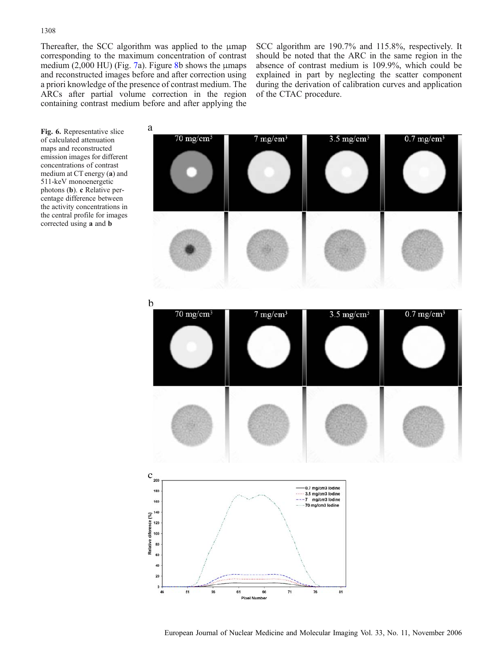Fig. 6. Representative slice

<span id="page-7-0"></span>Thereafter, the SCC algorithm was applied to the μmap corresponding to the maximum concentration of contrast medium  $(2,000 \text{ HU})$  (Fig. [7](#page-9-0)a). Figure [8b](#page-10-0) shows the µmaps and reconstructed images before and after correction using a priori knowledge of the presence of contrast medium. The ARCs after partial volume correction in the region containing contrast medium before and after applying the

a

SCC algorithm are 190.7% and 115.8%, respectively. It should be noted that the ARC in the same region in the absence of contrast medium is 109.9%, which could be explained in part by neglecting the scatter component during the derivation of calibration curves and application of the CTAC procedure.

 $70 \text{ mg/cm}^3$  $7 \text{ mg/cm}^3$  $3.5 \text{ mg/cm}^3$  $0.7 \text{ mg/cm}^3$ of calculated attenuation maps and reconstructed emission images for different concentrations of contrast medium at CT energy (a) and 511-keV monoenergetic photons (b). c Relative percentage difference between the activity concentrations in the central profile for images corrected using a and b b  $70 \text{ mg/cm}^3$  $7 \text{ mg/cm}^3$  $3.5 \text{ mg/cm}^3$  $0.7 \text{ mg/cm}^3$  $\mathbf c$  $20<sup>0</sup>$ 0.7 mg/cm3 lodine 180 3.5 mg/cm3 lodine mg/cm3 lodine 160 70 mg/cm3 lodine 140 diference (%) 120 100 Relative 80 40  $20$  $\mathbf{0}$ 51 61  $71$ 76 81

**Pixel Number**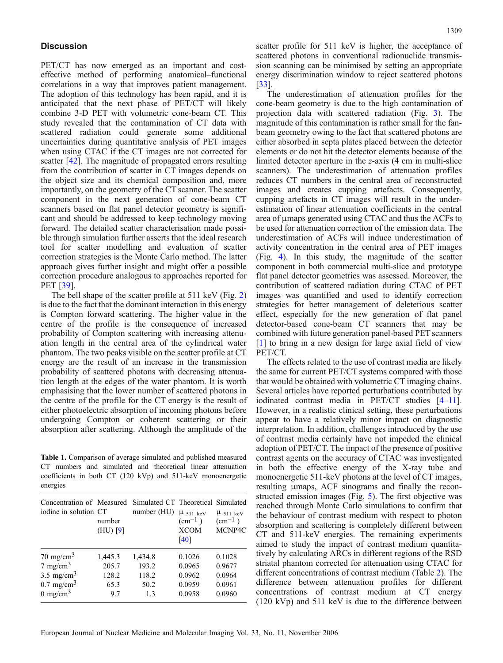# <span id="page-8-0"></span>**Discussion**

PET/CT has now emerged as an important and costeffective method of performing anatomical–functional correlations in a way that improves patient management. The adoption of this technology has been rapid, and it is anticipated that the next phase of PET/CT will likely combine 3-D PET with volumetric cone-beam CT. This study revealed that the contamination of CT data with scattered radiation could generate some additional uncertainties during quantitative analysis of PET images when using CTAC if the CT images are not corrected for scatter [[42](#page-12-0)]. The magnitude of propagated errors resulting from the contribution of scatter in CT images depends on the object size and its chemical composition and, more importantly, on the geometry of the CT scanner. The scatter component in the next generation of cone-beam CT scanners based on flat panel detector geometry is significant and should be addressed to keep technology moving forward. The detailed scatter characterisation made possible through simulation further asserts that the ideal research tool for scatter modelling and evaluation of scatter correction strategies is the Monte Carlo method. The latter approach gives further insight and might offer a possible correction procedure analogous to approaches reported for PET [\[39\]](#page-12-0).

The bell shape of the scatter profile at 511 keV (Fig. [2\)](#page-3-0) is due to the fact that the dominant interaction in this energy is Compton forward scattering. The higher value in the centre of the profile is the consequence of increased probability of Compton scattering with increasing attenuation length in the central area of the cylindrical water phantom. The two peaks visible on the scatter profile at CT energy are the result of an increase in the transmission probability of scattered photons with decreasing attenuation length at the edges of the water phantom. It is worth emphasising that the lower number of scattered photons in the centre of the profile for the CT energy is the result of either photoelectric absorption of incoming photons before undergoing Compton or coherent scattering or their absorption after scattering. Although the amplitude of the

Table 1. Comparison of average simulated and published measured CT numbers and simulated and theoretical linear attenuation coefficients in both CT (120 kVp) and 511-keV monoenergetic energies

| Concentration of Measured Simulated CT Theoretical Simulated<br>iodine in solution CT | number<br>$(HU)$ [9] | number (HU) | $\mu$ 511 keV<br>$\rm (cm^{-1})$<br><b>XCOM</b><br>[40] | $\mu$ 511 keV<br>$\rm (cm^{-1})$<br>MCNP4C |
|---------------------------------------------------------------------------------------|----------------------|-------------|---------------------------------------------------------|--------------------------------------------|
| $70 \text{ mg/cm}^3$                                                                  | 1,445.3              | 1,434.8     | 0.1026                                                  | 0.1028                                     |
| $7 \text{ mg/cm}^3$                                                                   | 205.7                | 193.2       | 0.0965                                                  | 0.9677                                     |
| $3.5 \text{ mg/cm}^3$                                                                 | 128.2                | 118.2       | 0.0962                                                  | 0.0964                                     |
| $0.7 \text{ mg/cm}^3$                                                                 | 65.3                 | 50.2        | 0.0959                                                  | 0.0961                                     |
| $0 \text{ mg/cm}^3$                                                                   | 9.7                  | 13          | 0.0958                                                  | 0.0960                                     |

scatter profile for 511 keV is higher, the acceptance of scattered photons in conventional radionuclide transmission scanning can be minimised by setting an appropriate energy discrimination window to reject scattered photons [[33](#page-12-0)].

The underestimation of attenuation profiles for the cone-beam geometry is due to the high contamination of projection data with scattered radiation (Fig. [3](#page-4-0)). The magnitude of this contamination is rather small for the fanbeam geometry owing to the fact that scattered photons are either absorbed in septa plates placed between the detector elements or do not hit the detector elements because of the limited detector aperture in the z-axis (4 cm in multi-slice scanners). The underestimation of attenuation profiles reduces CT numbers in the central area of reconstructed images and creates cupping artefacts. Consequently, cupping artefacts in CT images will result in the underestimation of linear attenuation coefficients in the central area of μmaps generated using CTAC and thus the ACFs to be used for attenuation correction of the emission data. The underestimation of ACFs will induce underestimation of activity concentration in the central area of PET images (Fig. [4](#page-5-0)). In this study, the magnitude of the scatter component in both commercial multi-slice and prototype flat panel detector geometries was assessed. Moreover, the contribution of scattered radiation during CTAC of PET images was quantified and used to identify correction strategies for better management of deleterious scatter effect, especially for the new generation of flat panel detector-based cone-beam CT scanners that may be combined with future generation panel-based PET scanners [[1\]](#page-11-0) to bring in a new design for large axial field of view PET/CT.

The effects related to the use of contrast media are likely the same for current PET/CT systems compared with those that would be obtained with volumetric CT imaging chains. Several articles have reported perturbations contributed by iodinated contrast media in PET/CT studies [\[4](#page-11-0)–[11](#page-12-0)]. However, in a realistic clinical setting, these perturbations appear to have a relatively minor impact on diagnostic interpretation. In addition, challenges introduced by the use of contrast media certainly have not impeded the clinical adoption of PET/CT. The impact of the presence of positive contrast agents on the accuracy of CTAC was investigated in both the effective energy of the X-ray tube and monoenergetic 511-keV photons at the level of CT images, resulting μmaps, ACF sinograms and finally the reconstructed emission images (Fig. [5\)](#page-6-0). The first objective was reached through Monte Carlo simulations to confirm that the behaviour of contrast medium with respect to photon absorption and scattering is completely different between CT and 511-keV energies. The remaining experiments aimed to study the impact of contrast medium quantitatively by calculating ARCs in different regions of the RSD striatal phantom corrected for attenuation using CTAC for different concentrations of contrast medium (Table [2](#page-10-0)). The difference between attenuation profiles for different concentrations of contrast medium at CT energy (120 kVp) and 511 keV is due to the difference between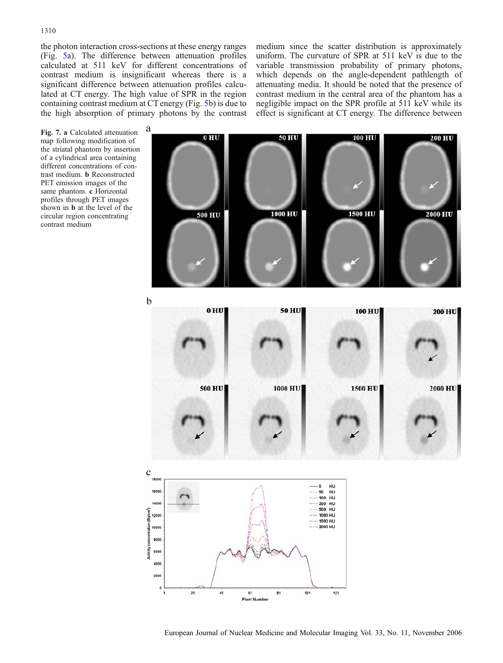<span id="page-9-0"></span>the photon interaction cross-sections at these energy ranges (Fig. [5a](#page-6-0)). The difference between attenuation profiles calculated at 511 keV for different concentrations of contrast medium is insignificant whereas there is a significant difference between attenuation profiles calculated at CT energy. The high value of SPR in the region containing contrast medium at CT energy (Fig. [5b](#page-6-0)) is due to the high absorption of primary photons by the contrast medium since the scatter distribution is approximately uniform. The curvature of SPR at 511 keV is due to the variable transmission probability of primary photons, which depends on the angle-dependent pathlength of attenuating media. It should be noted that the presence of contrast medium in the central area of the phantom has a negligible impact on the SPR profile at 511 keV while its effect is significant at CT energy. The difference between





**Pixel Number**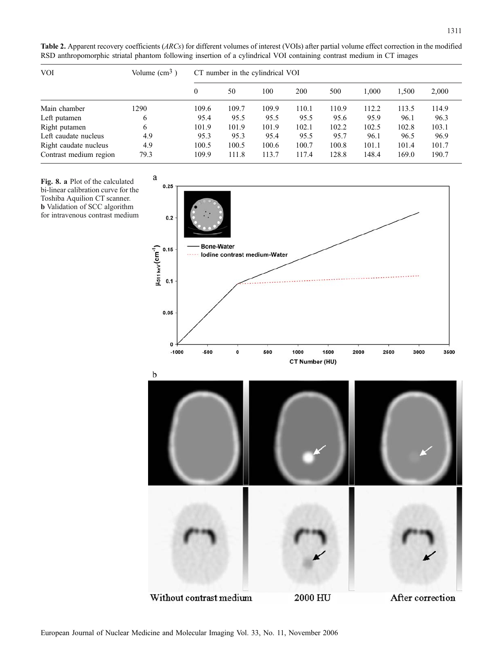<span id="page-10-0"></span>Table 2. Apparent recovery coefficients (ARCs) for different volumes of interest (VOIs) after partial volume effect correction in the modified RSD anthropomorphic striatal phantom following insertion of a cylindrical VOI containing contrast medium in CT images

| <b>VOI</b>             | Volume $\text{cm}^3$ ) | CT number in the cylindrical VOI |       |       |       |       |       |       |       |
|------------------------|------------------------|----------------------------------|-------|-------|-------|-------|-------|-------|-------|
|                        |                        | $\mathbf{0}$                     | 50    | 100   | 200   | 500   | 1.000 | 1,500 | 2,000 |
| Main chamber           | 1290                   | 109.6                            | 109.7 | 109.9 | 110.1 | 110.9 | 112.2 | 113.5 | 114.9 |
| Left putamen           | 6                      | 95.4                             | 95.5  | 95.5  | 95.5  | 95.6  | 95.9  | 96.1  | 96.3  |
| Right putamen          | 6                      | 101.9                            | 101.9 | 101.9 | 102.1 | 102.2 | 102.5 | 102.8 | 103.1 |
| Left caudate nucleus   | 4.9                    | 95.3                             | 95.3  | 95.4  | 95.5  | 95.7  | 96.1  | 96.5  | 96.9  |
| Right caudate nucleus  | 4.9                    | 100.5                            | 100.5 | 100.6 | 100.7 | 100.8 | 101.1 | 101.4 | 101.7 |
| Contrast medium region | 79.3                   | 109.9                            | 111.8 | 113.7 | 117.4 | 128.8 | 148.4 | 169.0 | 190.7 |



European Journal of Nuclear Medicine and Molecular Imaging Vol. 33, No. 11, November 2006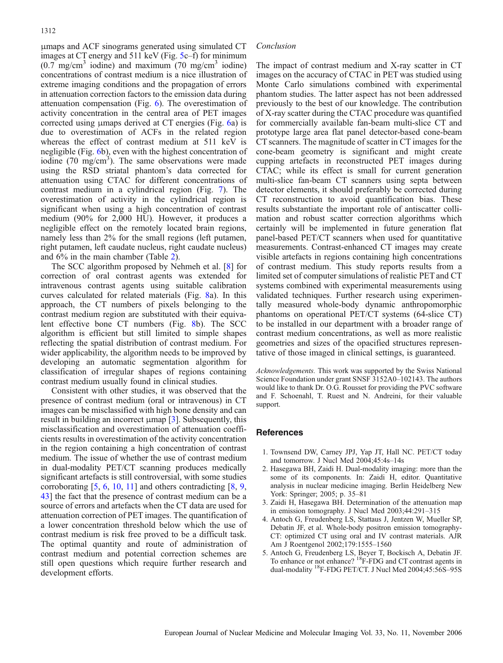<span id="page-11-0"></span>μmaps and ACF sinograms generated using simulated CT images at CT energy and 511 keV (Fig. [5](#page-6-0)c–f) for minimum  $(0.7 \text{ mg/cm}^3 \text{ iodine})$  and maximum  $(70 \text{ mg/cm}^3 \text{ iodine})$ concentrations of contrast medium is a nice illustration of extreme imaging conditions and the propagation of errors in attenuation correction factors to the emission data during attenuation compensation (Fig. [6](#page-7-0)). The overestimation of activity concentration in the central area of PET images corrected using μmaps derived at CT energies (Fig. [6a](#page-7-0)) is due to overestimation of ACFs in the related region whereas the effect of contrast medium at 511 keV is negligible (Fig. [6b](#page-7-0)), even with the highest concentration of iodine  $(70 \text{ mg/cm}^3)$ . The same observations were made using the RSD striatal phantom's data corrected for attenuation using CTAC for different concentrations of contrast medium in a cylindrical region (Fig. [7](#page-9-0)). The overestimation of activity in the cylindrical region is significant when using a high concentration of contrast medium (90% for 2,000 HU). However, it produces a negligible effect on the remotely located brain regions, namely less than 2% for the small regions (left putamen, right putamen, left caudate nucleus, right caudate nucleus) and 6% in the main chamber (Table [2\)](#page-10-0).

The SCC algorithm proposed by Nehmeh et al. [\[8](#page-12-0)] for correction of oral contrast agents was extended for intravenous contrast agents using suitable calibration curves calculated for related materials (Fig. [8](#page-10-0)a). In this approach, the CT numbers of pixels belonging to the contrast medium region are substituted with their equivalent effective bone CT numbers (Fig. [8](#page-10-0)b). The SCC algorithm is efficient but still limited to simple shapes reflecting the spatial distribution of contrast medium. For wider applicability, the algorithm needs to be improved by developing an automatic segmentation algorithm for classification of irregular shapes of regions containing contrast medium usually found in clinical studies.

Consistent with other studies, it was observed that the presence of contrast medium (oral or intravenous) in CT images can be misclassified with high bone density and can result in building an incorrect μmap [3]. Subsequently, this misclassification and overestimation of attenuation coefficients results in overestimation of the activity concentration in the region containing a high concentration of contrast medium. The issue of whether the use of contrast medium in dual-modality PET/CT scanning produces medically significant artefacts is still controversial, with some studies corroborating [5, [6](#page-12-0), [10](#page-12-0), [11](#page-12-0)] and others contradicting [\[8](#page-12-0), [9](#page-12-0), [43\]](#page-12-0) the fact that the presence of contrast medium can be a source of errors and artefacts when the CT data are used for attenuation correction of PET images. The quantification of a lower concentration threshold below which the use of contrast medium is risk free proved to be a difficult task. The optimal quantity and route of administration of contrast medium and potential correction schemes are still open questions which require further research and development efforts.

### Conclusion

The impact of contrast medium and X-ray scatter in CT images on the accuracy of CTAC in PET was studied using Monte Carlo simulations combined with experimental phantom studies. The latter aspect has not been addressed previously to the best of our knowledge. The contribution of X-ray scatter during the CTAC procedure was quantified for commercially available fan-beam multi-slice CT and prototype large area flat panel detector-based cone-beam CT scanners. The magnitude of scatter in CT images for the cone-beam geometry is significant and might create cupping artefacts in reconstructed PET images during CTAC; while its effect is small for current generation multi-slice fan-beam CT scanners using septa between detector elements, it should preferably be corrected during CT reconstruction to avoid quantification bias. These results substantiate the important role of antiscatter collimation and robust scatter correction algorithms which certainly will be implemented in future generation flat panel-based PET/CT scanners when used for quantitative measurements. Contrast-enhanced CT images may create visible artefacts in regions containing high concentrations of contrast medium. This study reports results from a limited set of computer simulations of realistic PET and CT systems combined with experimental measurements using validated techniques. Further research using experimentally measured whole-body dynamic anthropomorphic phantoms on operational PET/CT systems (64-slice CT) to be installed in our department with a broader range of contrast medium concentrations, as well as more realistic geometries and sizes of the opacified structures representative of those imaged in clinical settings, is guaranteed.

Acknowledgements. This work was supported by the Swiss National Science Foundation under grant SNSF 3152A0–102143. The authors would like to thank Dr. O.G. Rousset for providing the PVC software and F. Schoenahl, T. Ruest and N. Andreini, for their valuable support.

# **References**

- 1. Townsend DW, Carney JPJ, Yap JT, Hall NC. PET/CT today and tomorrow. J Nucl Med 2004;45:4s–14s
- 2. Hasegawa BH, Zaidi H. Dual-modality imaging: more than the some of its components. In: Zaidi H, editor. Quantitative analysis in nuclear medicine imaging. Berlin Heidelberg New York: Springer; 2005; p. 35–81
- 3. Zaidi H, Hasegawa BH. Determination of the attenuation map in emission tomography. J Nucl Med 2003;44:291–315
- 4. Antoch G, Freudenberg LS, Stattaus J, Jentzen W, Mueller SP, Debatin JF, et al. Whole-body positron emission tomography-CT: optimized CT using oral and IV contrast materials. AJR Am J Roentgenol 2002;179:1555–1560
- 5. Antoch G, Freudenberg LS, Beyer T, Bockisch A, Debatin JF. To enhance or not enhance? 18F-FDG and CT contrast agents in dual-modality 18F-FDG PET/CT. J Nucl Med 2004;45:56S–95S